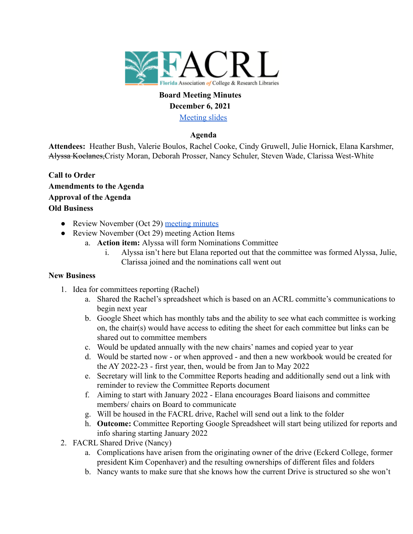

### **Board Meeting Minutes December 6, 2021**

[Meeting slides](https://docs.google.com/presentation/d/1bC5f0pvHoc09T_jHXkMON3db5fCpYaBcOL8emWtLNw4/edit?usp=sharing)

## **Agenda**

**Attendees:** Heather Bush, Valerie Boulos, Rachel Cooke, Cindy Gruwell, Julie Hornick, Elana Karshmer, Alyssa Koclanes,Cristy Moran, Deborah Prosser, Nancy Schuler, Steven Wade, Clarissa West-White

- **Call to Order Amendments to the Agenda Approval of the Agenda Old Business**
	- Review November (Oct 29) [meeting minutes](https://docs.google.com/document/d/1QEPR2CwWSfWmubN5JHHCb_HCX5oRrhQlAmAN2uyCHmU/edit?usp=sharing)
	- Review November (Oct 29) meeting Action Items
		- a. **Action item:** Alyssa will form Nominations Committee
			- i. Alyssa isn't here but Elana reported out that the committee was formed Alyssa, Julie, Clarissa joined and the nominations call went out

### **New Business**

- 1. Idea for committees reporting (Rachel)
	- a. Shared the Rachel's spreadsheet which is based on an ACRL committe's communications to begin next year
	- b. Google Sheet which has monthly tabs and the ability to see what each committee is working on, the chair(s) would have access to editing the sheet for each committee but links can be shared out to committee members
	- c. Would be updated annually with the new chairs' names and copied year to year
	- d. Would be started now or when approved and then a new workbook would be created for the AY 2022-23 - first year, then, would be from Jan to May 2022
	- e. Secretary will link to the Committee Reports heading and additionally send out a link with reminder to review the Committee Reports document
	- f. Aiming to start with January 2022 Elana encourages Board liaisons and committee members/ chairs on Board to communicate
	- g. Will be housed in the FACRL drive, Rachel will send out a link to the folder
	- h. **Outcome:** Committee Reporting Google Spreadsheet will start being utilized for reports and info sharing starting January 2022
- 2. FACRL Shared Drive (Nancy)
	- a. Complications have arisen from the originating owner of the drive (Eckerd College, former president Kim Copenhaver) and the resulting ownerships of different files and folders
	- b. Nancy wants to make sure that she knows how the current Drive is structured so she won't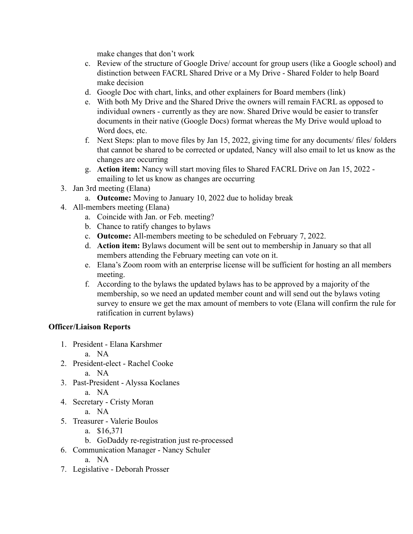make changes that don't work

- c. Review of the structure of Google Drive/ account for group users (like a Google school) and distinction between FACRL Shared Drive or a My Drive - Shared Folder to help Board make decision
- d. Google Doc with chart, links, and other explainers for Board members (link)
- e. With both My Drive and the Shared Drive the owners will remain FACRL as opposed to individual owners - currently as they are now. Shared Drive would be easier to transfer documents in their native (Google Docs) format whereas the My Drive would upload to Word docs, etc.
- f. Next Steps: plan to move files by Jan 15, 2022, giving time for any documents/ files/ folders that cannot be shared to be corrected or updated, Nancy will also email to let us know as the changes are occurring
- g. **Action item:** Nancy will start moving files to Shared FACRL Drive on Jan 15, 2022 emailing to let us know as changes are occurring
- 3. Jan 3rd meeting (Elana)
	- a. **Outcome:** Moving to January 10, 2022 due to holiday break
- 4. All-members meeting (Elana)
	- a. Coincide with Jan. or Feb. meeting?
	- b. Chance to ratify changes to bylaws
	- c. **Outcome:** All-members meeting to be scheduled on February 7, 2022.
	- d. **Action item:** Bylaws document will be sent out to membership in January so that all members attending the February meeting can vote on it.
	- e. Elana's Zoom room with an enterprise license will be sufficient for hosting an all members meeting.
	- f. According to the bylaws the updated bylaws has to be approved by a majority of the membership, so we need an updated member count and will send out the bylaws voting survey to ensure we get the max amount of members to vote (Elana will confirm the rule for ratification in current bylaws)

# **Officer/Liaison Reports**

- 1. President Elana Karshmer
	- a. NA
- 2. President-elect Rachel Cooke
	- a. NA
- 3. Past-President Alyssa Koclanes
	- a. NA
- 4. Secretary Cristy Moran
	- a. NA
- 5. Treasurer Valerie Boulos
	- a. \$16,371
	- b. GoDaddy re-registration just re-processed
- 6. Communication Manager Nancy Schuler
	- a. NA
- 7. Legislative Deborah Prosser